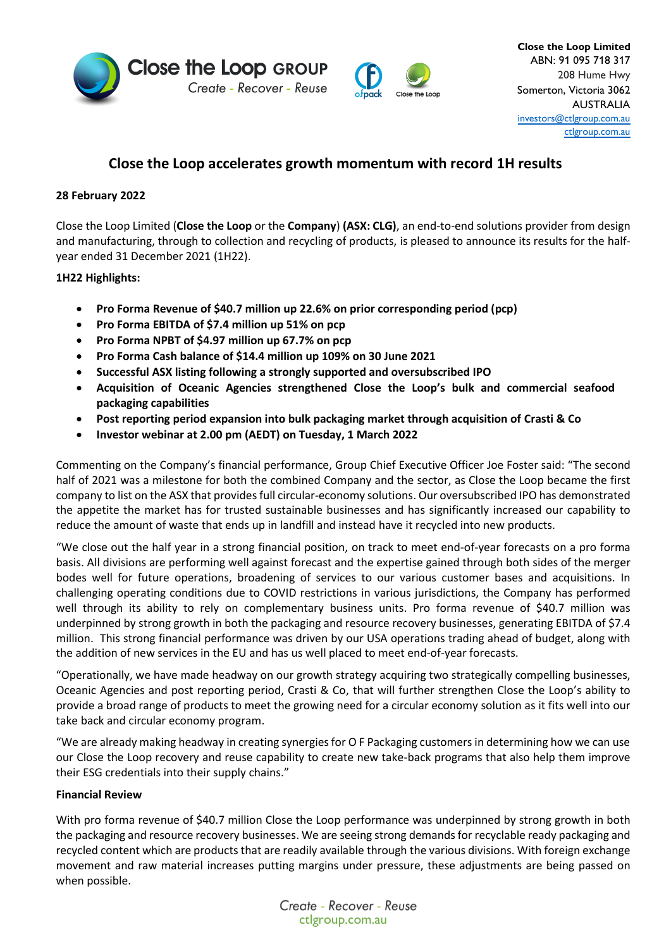



# **Close the Loop accelerates growth momentum with record 1H results**

# **28 February 2022**

Close the Loop Limited (**Close the Loop** or the **Company**) **(ASX: CLG)**, an end-to-end solutions provider from design and manufacturing, through to collection and recycling of products, is pleased to announce its results for the halfyear ended 31 December 2021 (1H22).

**1H22 Highlights:** 

- **Pro Forma Revenue of \$40.7 million up 22.6% on prior corresponding period (pcp)**
- **Pro Forma EBITDA of \$7.4 million up 51% on pcp**
- **Pro Forma NPBT of \$4.97 million up 67.7% on pcp**
- **Pro Forma Cash balance of \$14.4 million up 109% on 30 June 2021**
- **Successful ASX listing following a strongly supported and oversubscribed IPO**
- **Acquisition of Oceanic Agencies strengthened Close the Loop's bulk and commercial seafood packaging capabilities**
- **Post reporting period expansion into bulk packaging market through acquisition of Crasti & Co**
- **Investor webinar at 2.00 pm (AEDT) on Tuesday, 1 March 2022**

Commenting on the Company's financial performance, Group Chief Executive Officer Joe Foster said: "The second half of 2021 was a milestone for both the combined Company and the sector, as Close the Loop became the first company to list on the ASX that provides full circular-economy solutions. Our oversubscribed IPO has demonstrated the appetite the market has for trusted sustainable businesses and has significantly increased our capability to reduce the amount of waste that ends up in landfill and instead have it recycled into new products.

"We close out the half year in a strong financial position, on track to meet end-of-year forecasts on a pro forma basis. All divisions are performing well against forecast and the expertise gained through both sides of the merger bodes well for future operations, broadening of services to our various customer bases and acquisitions. In challenging operating conditions due to COVID restrictions in various jurisdictions, the Company has performed well through its ability to rely on complementary business units. Pro forma revenue of \$40.7 million was underpinned by strong growth in both the packaging and resource recovery businesses, generating EBITDA of \$7.4 million. This strong financial performance was driven by our USA operations trading ahead of budget, along with the addition of new services in the EU and has us well placed to meet end-of-year forecasts.

"Operationally, we have made headway on our growth strategy acquiring two strategically compelling businesses, Oceanic Agencies and post reporting period, Crasti & Co, that will further strengthen Close the Loop's ability to provide a broad range of products to meet the growing need for a circular economy solution as it fits well into our take back and circular economy program.

"We are already making headway in creating synergies for O F Packaging customers in determining how we can use our Close the Loop recovery and reuse capability to create new take-back programs that also help them improve their ESG credentials into their supply chains."

## **Financial Review**

With pro forma revenue of \$40.7 million Close the Loop performance was underpinned by strong growth in both the packaging and resource recovery businesses. We are seeing strong demands for recyclable ready packaging and recycled content which are products that are readily available through the various divisions. With foreign exchange movement and raw material increases putting margins under pressure, these adjustments are being passed on when possible.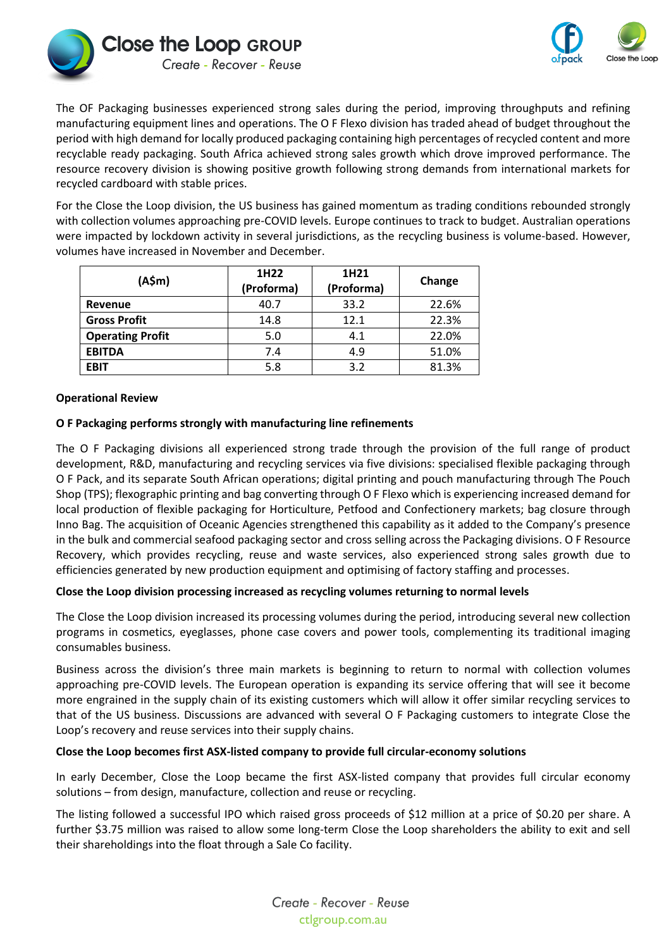



The OF Packaging businesses experienced strong sales during the period, improving throughputs and refining manufacturing equipment lines and operations. The O F Flexo division has traded ahead of budget throughout the period with high demand for locally produced packaging containing high percentages of recycled content and more recyclable ready packaging. South Africa achieved strong sales growth which drove improved performance. The resource recovery division is showing positive growth following strong demands from international markets for recycled cardboard with stable prices.

For the Close the Loop division, the US business has gained momentum as trading conditions rebounded strongly with collection volumes approaching pre-COVID levels. Europe continues to track to budget. Australian operations were impacted by lockdown activity in several jurisdictions, as the recycling business is volume-based. However, volumes have increased in November and December.

| (A\$m)                  | 1H <sub>22</sub><br>(Proforma) | 1H <sub>21</sub><br>(Proforma) | Change |
|-------------------------|--------------------------------|--------------------------------|--------|
| Revenue                 | 40.7                           | 33.2                           | 22.6%  |
| <b>Gross Profit</b>     | 14.8                           | 12.1                           | 22.3%  |
| <b>Operating Profit</b> | 5.0                            | 4.1                            | 22.0%  |
| <b>EBITDA</b>           | 7.4                            | 4.9                            | 51.0%  |
| <b>EBIT</b>             | 5.8                            | 3.2                            | 81.3%  |

## **Operational Review**

## **O F Packaging performs strongly with manufacturing line refinements**

The O F Packaging divisions all experienced strong trade through the provision of the full range of product development, R&D, manufacturing and recycling services via five divisions: specialised flexible packaging through O F Pack, and its separate South African operations; digital printing and pouch manufacturing through The Pouch Shop (TPS); flexographic printing and bag converting through O F Flexo which is experiencing increased demand for local production of flexible packaging for Horticulture, Petfood and Confectionery markets; bag closure through Inno Bag. The acquisition of Oceanic Agencies strengthened this capability as it added to the Company's presence in the bulk and commercial seafood packaging sector and cross selling across the Packaging divisions. O F Resource Recovery, which provides recycling, reuse and waste services, also experienced strong sales growth due to efficiencies generated by new production equipment and optimising of factory staffing and processes.

## **Close the Loop division processing increased as recycling volumes returning to normal levels**

The Close the Loop division increased its processing volumes during the period, introducing several new collection programs in cosmetics, eyeglasses, phone case covers and power tools, complementing its traditional imaging consumables business.

Business across the division's three main markets is beginning to return to normal with collection volumes approaching pre-COVID levels. The European operation is expanding its service offering that will see it become more engrained in the supply chain of its existing customers which will allow it offer similar recycling services to that of the US business. Discussions are advanced with several O F Packaging customers to integrate Close the Loop's recovery and reuse services into their supply chains.

## **Close the Loop becomes first ASX-listed company to provide full circular-economy solutions**

In early December, Close the Loop became the first ASX-listed company that provides full circular economy solutions – from design, manufacture, collection and reuse or recycling.

The listing followed a successful IPO which raised gross proceeds of \$12 million at a price of \$0.20 per share. A further \$3.75 million was raised to allow some long-term Close the Loop shareholders the ability to exit and sell their shareholdings into the float through a Sale Co facility.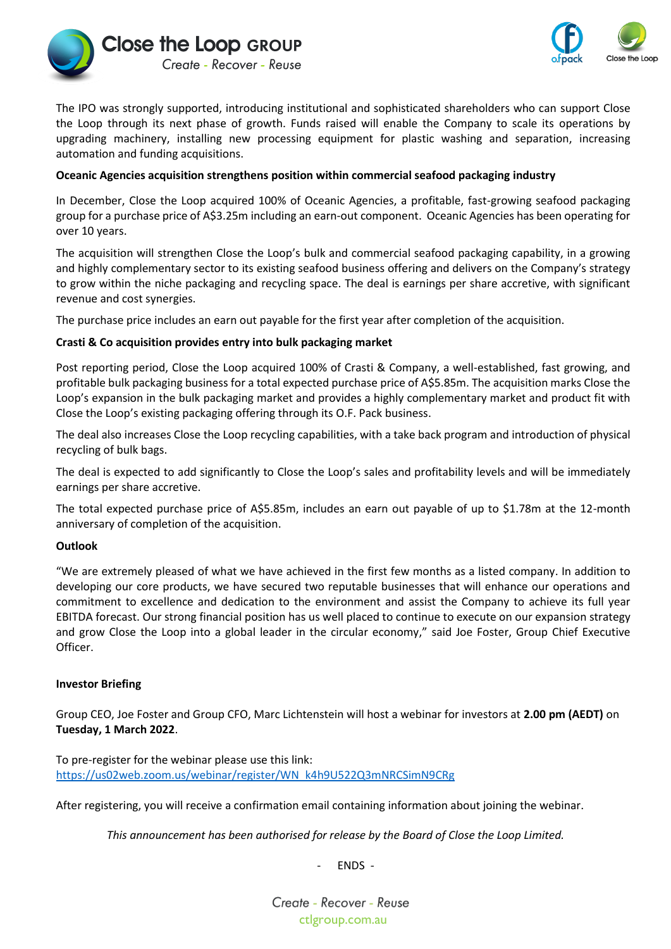



The IPO was strongly supported, introducing institutional and sophisticated shareholders who can support Close the Loop through its next phase of growth. Funds raised will enable the Company to scale its operations by upgrading machinery, installing new processing equipment for plastic washing and separation, increasing automation and funding acquisitions.

## **Oceanic Agencies acquisition strengthens position within commercial seafood packaging industry**

In December, Close the Loop acquired 100% of Oceanic Agencies, a profitable, fast-growing seafood packaging group for a purchase price of A\$3.25m including an earn-out component. Oceanic Agencies has been operating for over 10 years.

The acquisition will strengthen Close the Loop's bulk and commercial seafood packaging capability, in a growing and highly complementary sector to its existing seafood business offering and delivers on the Company's strategy to grow within the niche packaging and recycling space. The deal is earnings per share accretive, with significant revenue and cost synergies.

The purchase price includes an earn out payable for the first year after completion of the acquisition.

## **Crasti & Co acquisition provides entry into bulk packaging market**

Post reporting period, Close the Loop acquired 100% of Crasti & Company, a well-established, fast growing, and profitable bulk packaging business for a total expected purchase price of A\$5.85m. The acquisition marks Close the Loop's expansion in the bulk packaging market and provides a highly complementary market and product fit with Close the Loop's existing packaging offering through its O.F. Pack business.

The deal also increases Close the Loop recycling capabilities, with a take back program and introduction of physical recycling of bulk bags.

The deal is expected to add significantly to Close the Loop's sales and profitability levels and will be immediately earnings per share accretive.

The total expected purchase price of A\$5.85m, includes an earn out payable of up to \$1.78m at the 12-month anniversary of completion of the acquisition.

#### **Outlook**

"We are extremely pleased of what we have achieved in the first few months as a listed company. In addition to developing our core products, we have secured two reputable businesses that will enhance our operations and commitment to excellence and dedication to the environment and assist the Company to achieve its full year EBITDA forecast. Our strong financial position has us well placed to continue to execute on our expansion strategy and grow Close the Loop into a global leader in the circular economy," said Joe Foster, Group Chief Executive Officer.

#### **Investor Briefing**

Group CEO, Joe Foster and Group CFO, Marc Lichtenstein will host a webinar for investors at **2.00 pm (AEDT)** on **Tuesday, 1 March 2022**.

To pre-register for the webinar please use this link: [https://us02web.zoom.us/webinar/register/WN\\_k4h9U522Q3mNRCSimN9CRg](https://us02web.zoom.us/webinar/register/WN_k4h9U522Q3mNRCSimN9CRg)

After registering, you will receive a confirmation email containing information about joining the webinar.

*This announcement has been authorised for release by the Board of Close the Loop Limited.*

- ENDS -

Create - Recover - Reuse ctlgroup.com.au